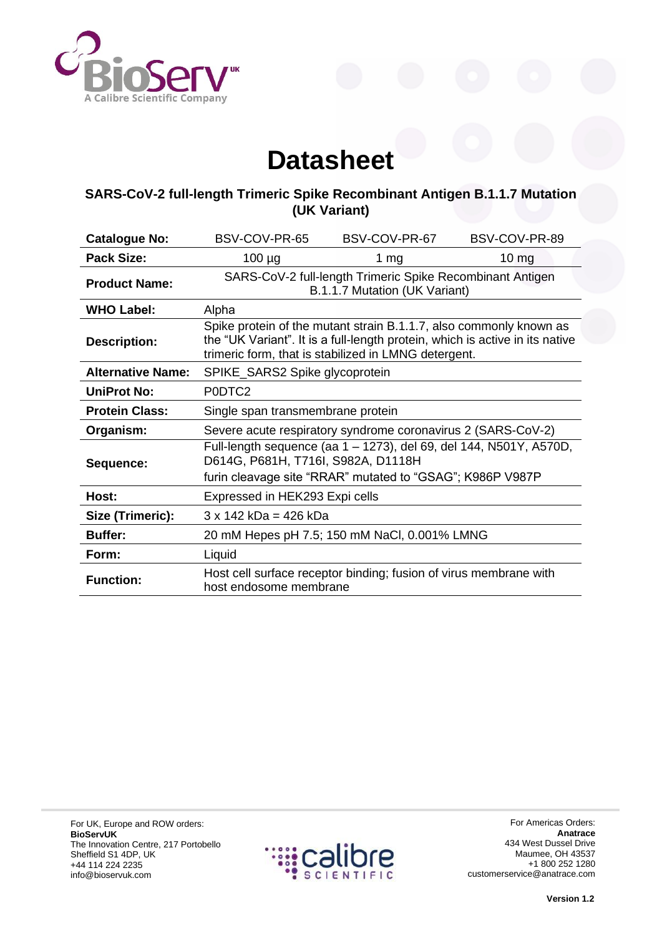

## **Datasheet**

## **SARS-CoV-2 full-length Trimeric Spike Recombinant Antigen B.1.1.7 Mutation (UK Variant)**

| <b>Catalogue No:</b>     | BSV-COV-PR-65                                                                                                                                                                                              | BSV-COV-PR-67 | BSV-COV-PR-89 |  |  |
|--------------------------|------------------------------------------------------------------------------------------------------------------------------------------------------------------------------------------------------------|---------------|---------------|--|--|
| <b>Pack Size:</b>        | $100 \mu g$                                                                                                                                                                                                | 1 $mg$        | $10 \, mg$    |  |  |
| <b>Product Name:</b>     | SARS-CoV-2 full-length Trimeric Spike Recombinant Antigen<br>B.1.1.7 Mutation (UK Variant)                                                                                                                 |               |               |  |  |
| <b>WHO Label:</b>        | Alpha                                                                                                                                                                                                      |               |               |  |  |
| <b>Description:</b>      | Spike protein of the mutant strain B.1.1.7, also commonly known as<br>the "UK Variant". It is a full-length protein, which is active in its native<br>trimeric form, that is stabilized in LMNG detergent. |               |               |  |  |
| <b>Alternative Name:</b> | SPIKE_SARS2 Spike glycoprotein                                                                                                                                                                             |               |               |  |  |
| <b>UniProt No:</b>       | P0DTC2                                                                                                                                                                                                     |               |               |  |  |
| <b>Protein Class:</b>    | Single span transmembrane protein                                                                                                                                                                          |               |               |  |  |
| Organism:                | Severe acute respiratory syndrome coronavirus 2 (SARS-CoV-2)                                                                                                                                               |               |               |  |  |
| Sequence:                | Full-length sequence (aa 1 - 1273), del 69, del 144, N501Y, A570D,<br>D614G, P681H, T716I, S982A, D1118H                                                                                                   |               |               |  |  |
|                          | furin cleavage site "RRAR" mutated to "GSAG"; K986P V987P                                                                                                                                                  |               |               |  |  |
| Host:                    | Expressed in HEK293 Expi cells                                                                                                                                                                             |               |               |  |  |
| Size (Trimeric):         | $3 \times 142$ kDa = 426 kDa                                                                                                                                                                               |               |               |  |  |
| <b>Buffer:</b>           | 20 mM Hepes pH 7.5; 150 mM NaCl, 0.001% LMNG                                                                                                                                                               |               |               |  |  |
| Form:                    | Liquid                                                                                                                                                                                                     |               |               |  |  |
| <b>Function:</b>         | Host cell surface receptor binding; fusion of virus membrane with<br>host endosome membrane                                                                                                                |               |               |  |  |